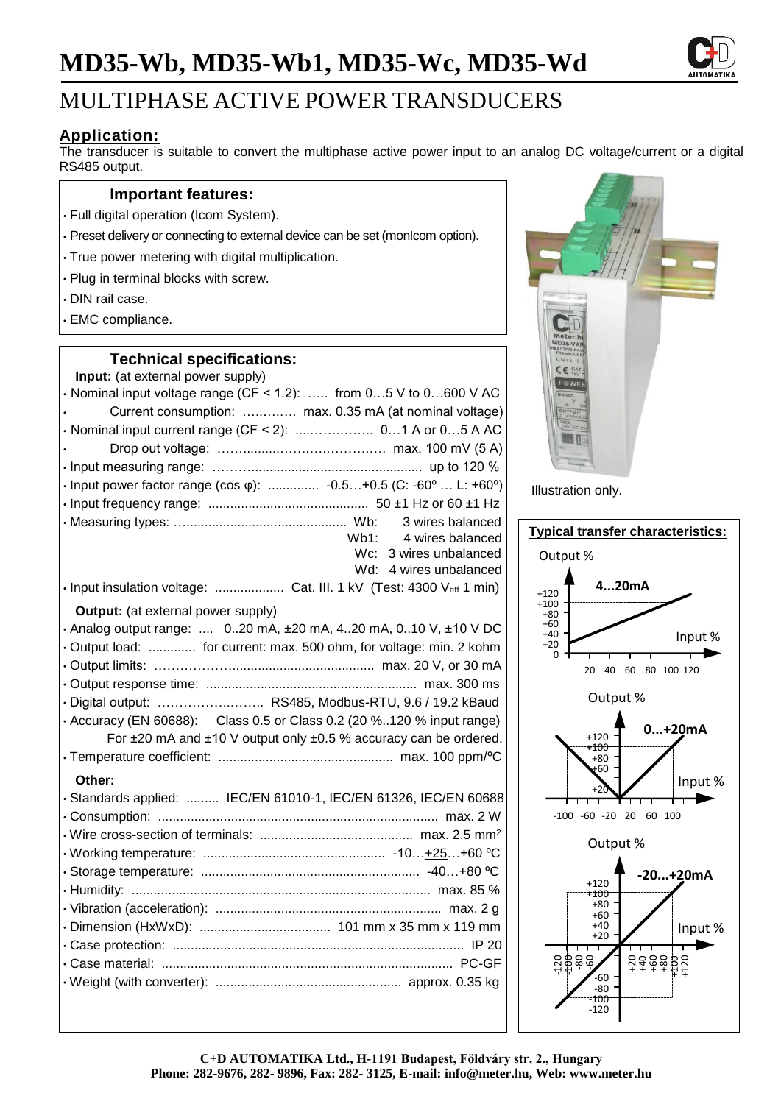# **MD35-Wb, MD35-Wb1, MD35-Wc, MD35-Wd**



# MULTIPHASE ACTIVE POWER TRANSDUCERS

## **Application:**

The transducer is suitable to convert the multiphase active power input to an analog DC voltage/current or a digital RS485 output.

### **Important features:**

- Full digital operation (Icom System).
- Preset delivery or connecting to external device can be set (monIcom option).
- True power metering with digital multiplication.
- Plug in terminal blocks with screw.
- DIN rail case.
- EMC compliance.

### **Technical specifications:**

| Input: (at external power supply)                                       |
|-------------------------------------------------------------------------|
| $\cdot$ Nominal input voltage range (CF < 1.2):  from 05 V to 0600 V AC |
| Current consumption:  max. 0.35 mA (at nominal voltage)                 |
|                                                                         |
|                                                                         |
|                                                                         |
| · Input power factor range (cos φ):  -0.5+0.5 (C: -60°  L: +60°)        |
|                                                                         |
| 3 wires balanced                                                        |
| Wb1:<br>4 wires balanced                                                |
| $Wc$ :<br>3 wires unbalanced<br>4 wires unbalanced<br>Wd:               |
| · Input insulation voltage:  Cat. III. 1 kV (Test: 4300 Veff 1 min)     |
|                                                                         |
| <b>Output:</b> (at external power supply)                               |
| · Analog output range:  020 mA, ±20 mA, 420 mA, 010 V, ±10 V DC         |
| Output load:  for current: max. 500 ohm, for voltage: min. 2 kohm       |
|                                                                         |
|                                                                         |
| · Digital output:  RS485, Modbus-RTU, 9.6 / 19.2 kBaud                  |
| • Accuracy (EN 60688): Class 0.5 or Class 0.2 (20 %120 % input range)   |
| For ±20 mA and ±10 V output only ±0.5 % accuracy can be ordered.        |
|                                                                         |
| Other:                                                                  |
| · Standards applied:  IEC/EN 61010-1, IEC/EN 61326, IEC/EN 60688        |
|                                                                         |
|                                                                         |
|                                                                         |
|                                                                         |
|                                                                         |
|                                                                         |
|                                                                         |
|                                                                         |
|                                                                         |
|                                                                         |
|                                                                         |



Illustration only.